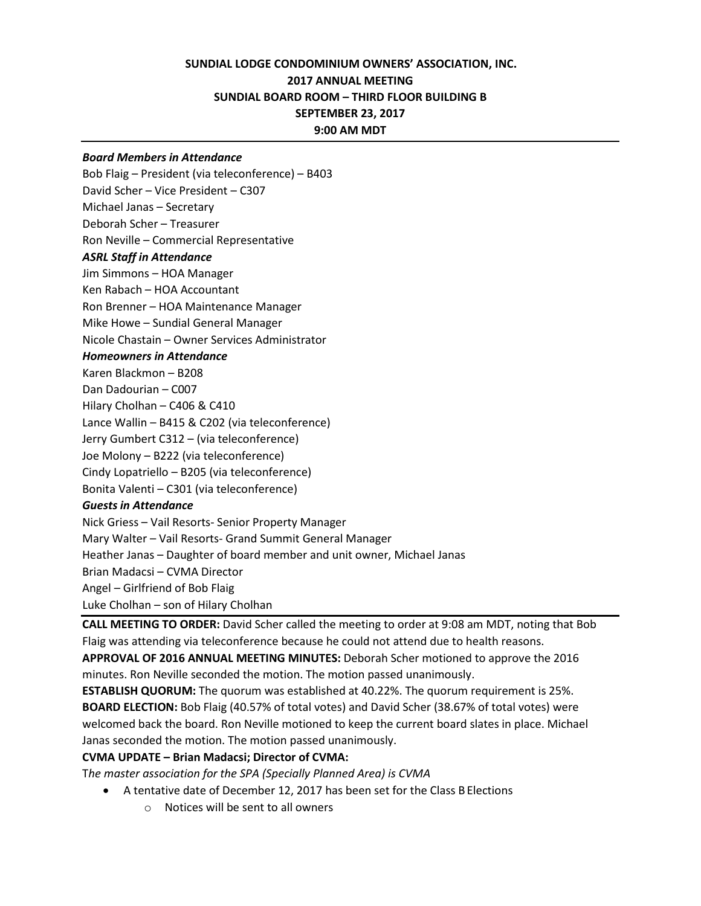# **SUNDIAL LODGE CONDOMINIUM OWNERS' ASSOCIATION, INC. 2017 ANNUAL MEETING SUNDIAL BOARD ROOM – THIRD FLOOR BUILDING B SEPTEMBER 23, 2017 9:00 AM MDT**

### *Board Members in Attendance*

Bob Flaig – President (via teleconference) – B403 David Scher – Vice President – C307 Michael Janas – Secretary Deborah Scher – Treasurer Ron Neville – Commercial Representative *ASRL Staff in Attendance* Jim Simmons – HOA Manager Ken Rabach – HOA Accountant Ron Brenner – HOA Maintenance Manager Mike Howe – Sundial General Manager Nicole Chastain – Owner Services Administrator *Homeowners in Attendance* Karen Blackmon – B208 Dan Dadourian – C007 Hilary Cholhan – C406 & C410 Lance Wallin – B415 & C202 (via teleconference) Jerry Gumbert C312 – (via teleconference) Joe Molony – B222 (via teleconference) Cindy Lopatriello – B205 (via teleconference) Bonita Valenti – C301 (via teleconference) *Guests in Attendance* Nick Griess – Vail Resorts- Senior Property Manager Mary Walter – Vail Resorts- Grand Summit General Manager Heather Janas – Daughter of board member and unit owner, Michael Janas Brian Madacsi – CVMA Director

Angel – Girlfriend of Bob Flaig

Luke Cholhan – son of Hilary Cholhan

**CALL MEETING TO ORDER:** David Scher called the meeting to order at 9:08 am MDT, noting that Bob Flaig was attending via teleconference because he could not attend due to health reasons.

**APPROVAL OF 2016 ANNUAL MEETING MINUTES:** Deborah Scher motioned to approve the 2016 minutes. Ron Neville seconded the motion. The motion passed unanimously.

**ESTABLISH QUORUM:** The quorum was established at 40.22%. The quorum requirement is 25%. **BOARD ELECTION:** Bob Flaig (40.57% of total votes) and David Scher (38.67% of total votes) were welcomed back the board. Ron Neville motioned to keep the current board slates in place. Michael Janas seconded the motion. The motion passed unanimously.

#### **CVMA UPDATE – Brian Madacsi; Director of CVMA:**

T*he master association for the SPA (Specially Planned Area) is CVMA*

- A tentative date of December 12, 2017 has been set for the Class BElections
	- o Notices will be sent to all owners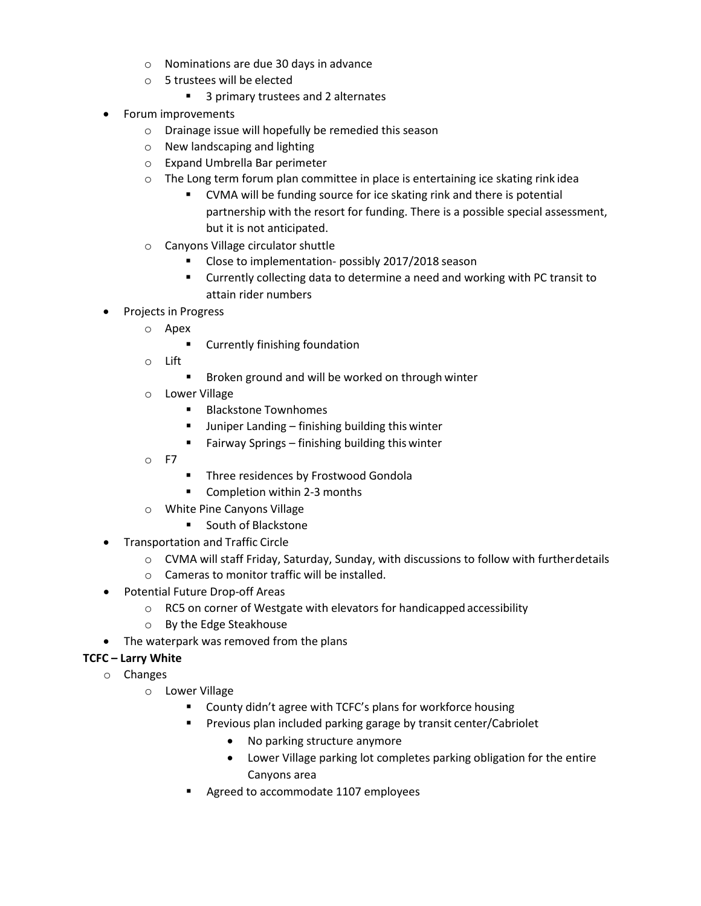- o Nominations are due 30 days in advance
- o 5 trustees will be elected
	- 3 primary trustees and 2 alternates
- Forum improvements
	- o Drainage issue will hopefully be remedied this season
	- o New landscaping and lighting
	- o Expand Umbrella Bar perimeter
	- $\circ$  The Long term forum plan committee in place is entertaining ice skating rink idea
		- CVMA will be funding source for ice skating rink and there is potential partnership with the resort for funding. There is a possible special assessment, but it is not anticipated.
	- o Canyons Village circulator shuttle
		- **Close to implementation- possibly 2017/2018 season**
		- Currently collecting data to determine a need and working with PC transit to attain rider numbers
- Projects in Progress
	- o Apex
		- **EXECUTE:** Currently finishing foundation
	- o Lift
		- **Broken ground and will be worked on through winter**
	- o Lower Village
		- **Blackstone Townhomes**
		- Juniper Landing finishing building this winter
		- **Fairway Springs finishing building this winter**
	- o F7
- **Three residences by Frostwood Gondola**
- Completion within 2-3 months
- o White Pine Canyons Village
	- South of Blackstone
- Transportation and Traffic Circle
	- o CVMA will staff Friday, Saturday, Sunday, with discussions to follow with furtherdetails
	- o Cameras to monitor traffic will be installed.
- Potential Future Drop-off Areas
	- o RC5 on corner of Westgate with elevators for handicapped accessibility
	- o By the Edge Steakhouse
- The waterpark was removed from the plans

### **TCFC – Larry White**

- o Changes
	- o Lower Village
		- County didn't agree with TCFC's plans for workforce housing
		- Previous plan included parking garage by transit center/Cabriolet
			- No parking structure anymore
			- Lower Village parking lot completes parking obligation for the entire Canyons area
		- **Agreed to accommodate 1107 employees**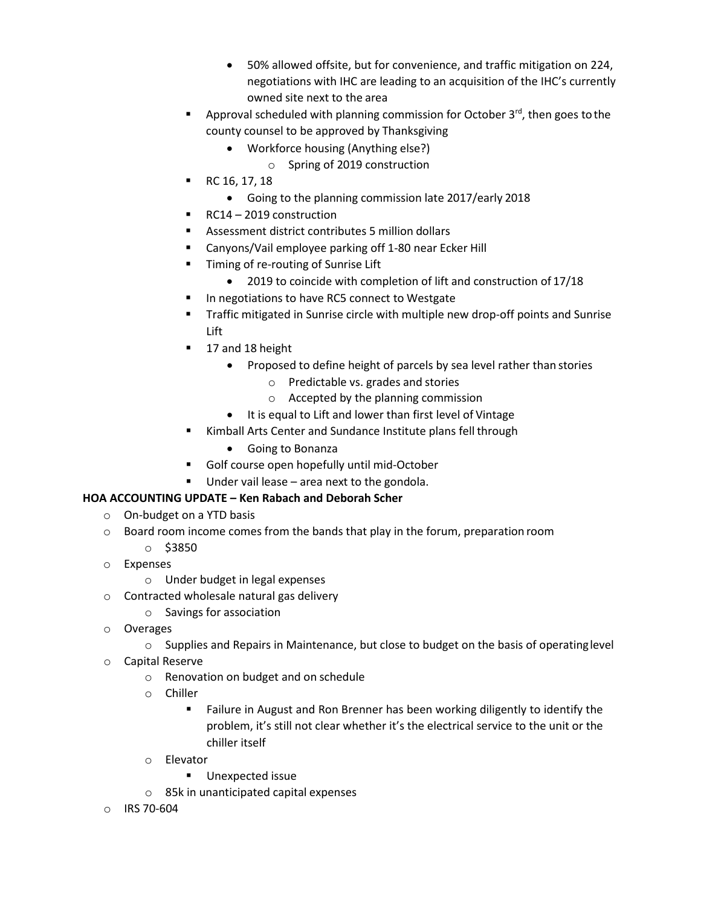- 50% allowed offsite, but for convenience, and traffic mitigation on 224, negotiations with IHC are leading to an acquisition of the IHC's currently owned site next to the area
- Approval scheduled with planning commission for October  $3<sup>rd</sup>$ , then goes to the county counsel to be approved by Thanksgiving
	- Workforce housing (Anything else?)
		- o Spring of 2019 construction
- RC 16, 17, 18
	- Going to the planning commission late 2017/early 2018
- RC14 2019 construction
- Assessment district contributes 5 million dollars
- Canyons/Vail employee parking off 1-80 near Ecker Hill
- **Timing of re-routing of Sunrise Lift** 
	- 2019 to coincide with completion of lift and construction of 17/18
- In negotiations to have RC5 connect to Westgate
- **Traffic mitigated in Sunrise circle with multiple new drop-off points and Sunrise** Lift
- 17 and 18 height
	- Proposed to define height of parcels by sea level rather than stories
		- o Predictable vs. grades and stories
		- o Accepted by the planning commission
	- It is equal to Lift and lower than first level of Vintage
- **EXEDENT ARTS KIMBALL ATTS CENTER 15 IN STARK IS ATTA** Kimball Arts Center and Sundance Institute plans fell through
	- Going to Bonanza
- Golf course open hopefully until mid-October
- Under vail lease area next to the gondola.

# **HOA ACCOUNTING UPDATE – Ken Rabach and Deborah Scher**

- o On-budget on a YTD basis
- $\circ$  Board room income comes from the bands that play in the forum, preparation room
	- o \$3850
- o Expenses
	- o Under budget in legal expenses
- o Contracted wholesale natural gas delivery
	- o Savings for association
- o Overages
	- $\circ$  Supplies and Repairs in Maintenance, but close to budget on the basis of operating level
- o Capital Reserve
	- o Renovation on budget and on schedule
	- o Chiller
		- **Failure in August and Ron Brenner has been working diligently to identify the** problem, it's still not clear whether it's the electrical service to the unit or the chiller itself
	- o Elevator
		- **Unexpected issue**
	- o 85k in unanticipated capital expenses
- o IRS 70-604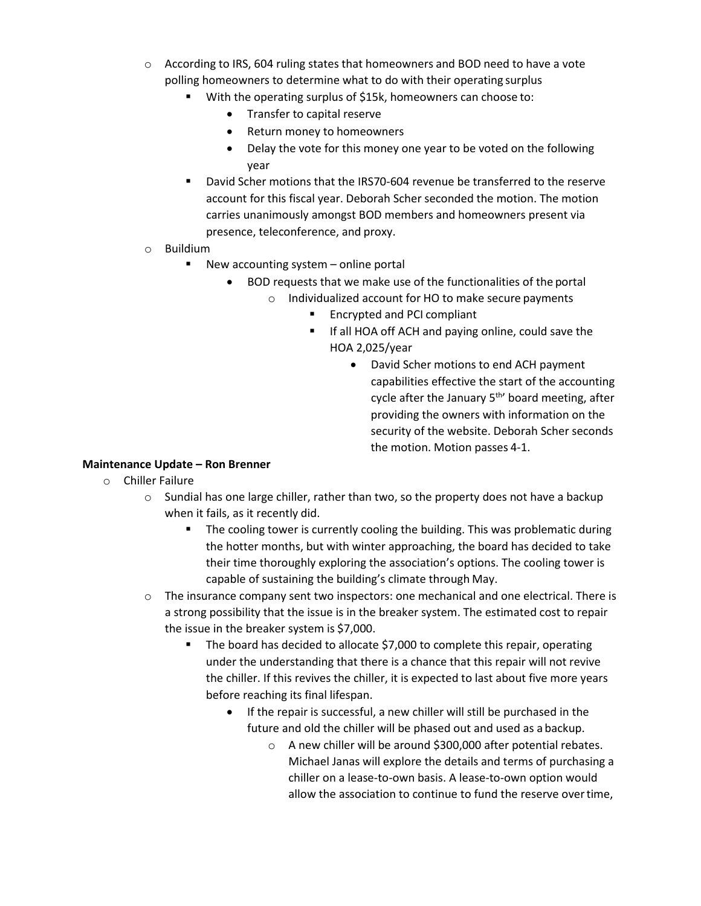- $\circ$  According to IRS, 604 ruling states that homeowners and BOD need to have a vote polling homeowners to determine what to do with their operating surplus
	- With the operating surplus of \$15k, homeowners can choose to:
		- Transfer to capital reserve
		- Return money to homeowners
		- Delay the vote for this money one year to be voted on the following year
	- David Scher motions that the IRS70-604 revenue be transferred to the reserve account for this fiscal year. Deborah Scher seconded the motion. The motion carries unanimously amongst BOD members and homeowners present via presence, teleconference, and proxy.
- o Buildium
	- New accounting system online portal
		- BOD requests that we make use of the functionalities of the portal
			- o Individualized account for HO to make secure payments
				- Encrypted and PCI compliant
					- $\blacksquare$  If all HOA off ACH and paying online, could save the HOA 2,025/year
						- David Scher motions to end ACH payment capabilities effective the start of the accounting cycle after the January  $5<sup>th</sup>$  board meeting, after providing the owners with information on the security of the website. Deborah Scher seconds the motion. Motion passes 4-1.

#### **Maintenance Update – Ron Brenner**

- o Chiller Failure
	- $\circ$  Sundial has one large chiller, rather than two, so the property does not have a backup when it fails, as it recently did.
		- The cooling tower is currently cooling the building. This was problematic during the hotter months, but with winter approaching, the board has decided to take their time thoroughly exploring the association's options. The cooling tower is capable of sustaining the building's climate through May.
	- $\circ$  The insurance company sent two inspectors: one mechanical and one electrical. There is a strong possibility that the issue is in the breaker system. The estimated cost to repair the issue in the breaker system is \$7,000.
		- The board has decided to allocate \$7,000 to complete this repair, operating under the understanding that there is a chance that this repair will not revive the chiller. If this revives the chiller, it is expected to last about five more years before reaching its final lifespan.
			- If the repair is successful, a new chiller will still be purchased in the future and old the chiller will be phased out and used as a backup.
				- o A new chiller will be around \$300,000 after potential rebates. Michael Janas will explore the details and terms of purchasing a chiller on a lease-to-own basis. A lease-to-own option would allow the association to continue to fund the reserve overtime,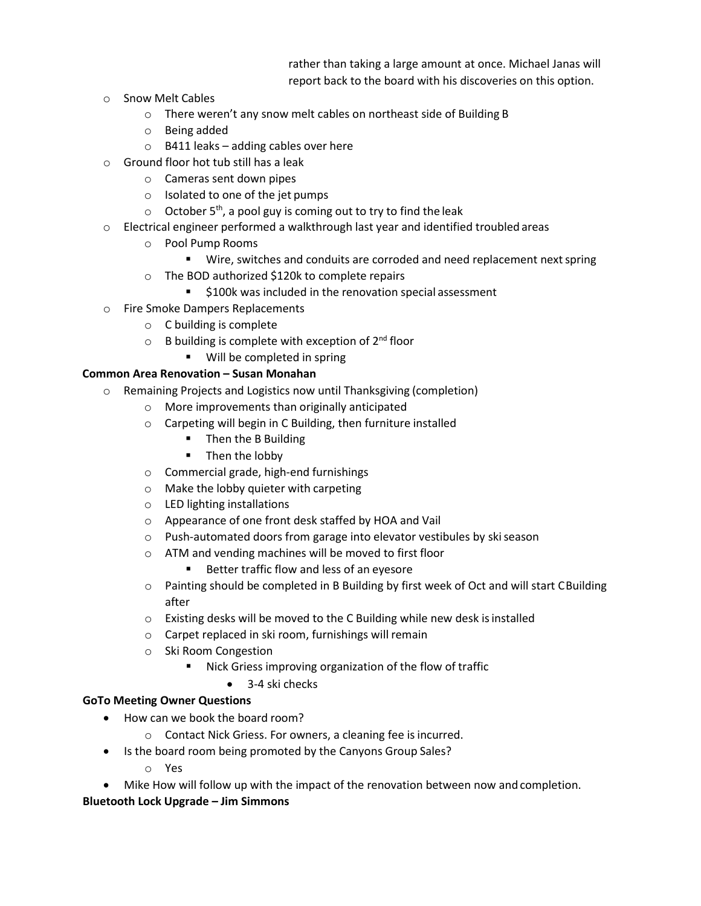rather than taking a large amount at once. Michael Janas will report back to the board with his discoveries on this option.

- o Snow Melt Cables
	- o There weren't any snow melt cables on northeast side of Building B
	- o Being added
	- $\circ$  B411 leaks adding cables over here
- o Ground floor hot tub still has a leak
	- o Cameras sent down pipes
	- o Isolated to one of the jet pumps
	- $\circ$  October 5<sup>th</sup>, a pool guy is coming out to try to find the leak
- o Electrical engineer performed a walkthrough last year and identified troubled areas
	- o Pool Pump Rooms
		- Wire, switches and conduits are corroded and need replacement nextspring
	- o The BOD authorized \$120k to complete repairs
		- **5100k was included in the renovation special assessment**
- o Fire Smoke Dampers Replacements
	- $\circ$  C building is complete
	- $\circ$  B building is complete with exception of 2<sup>nd</sup> floor
		- Will be completed in spring

# **Common Area Renovation – Susan Monahan**

- o Remaining Projects and Logistics now until Thanksgiving (completion)
	- o More improvements than originally anticipated
	- o Carpeting will begin in C Building, then furniture installed
		- Then the B Building
		- **Then the lobby**
	- o Commercial grade, high-end furnishings
	- o Make the lobby quieter with carpeting
	- o LED lighting installations
	- o Appearance of one front desk staffed by HOA and Vail
	- o Push-automated doors from garage into elevator vestibules by skiseason
	- o ATM and vending machines will be moved to first floor
		- Better traffic flow and less of an eyesore
	- o Painting should be completed in B Building by first week of Oct and will start CBuilding after
	- o Existing desks will be moved to the C Building while new desk isinstalled
	- o Carpet replaced in ski room, furnishings will remain
	- o Ski Room Congestion
		- Nick Griess improving organization of the flow of traffic
			- 3-4 ski checks

#### **GoTo Meeting Owner Questions**

- How can we book the board room?
	- o Contact Nick Griess. For owners, a cleaning fee is incurred.
- Is the board room being promoted by the Canyons Group Sales?
	- o Yes
- Mike How will follow up with the impact of the renovation between now andcompletion.

#### **Bluetooth Lock Upgrade – Jim Simmons**